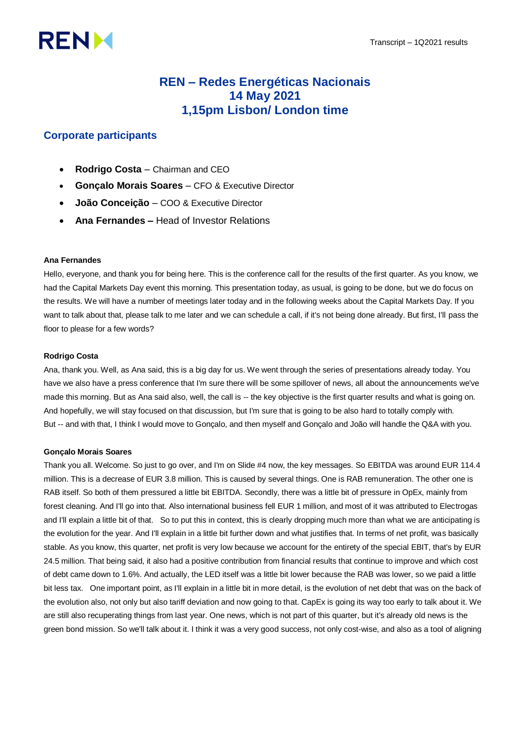# **RENM**

# **REN – Redes Energéticas Nacionais 14 May 2021 1,15pm Lisbon/ London time**

# **Corporate participants**

- **Rodrigo Costa**  Chairman and CEO
- **Gonçalo Morais Soares**  CFO & Executive Director
- **João Conceição**  COO & Executive Director
- **Ana Fernandes –** Head of Investor Relations

# **Ana Fernandes**

Hello, everyone, and thank you for being here. This is the conference call for the results of the first quarter. As you know, we had the Capital Markets Day event this morning. This presentation today, as usual, is going to be done, but we do focus on the results. We will have a number of meetings later today and in the following weeks about the Capital Markets Day. If you want to talk about that, please talk to me later and we can schedule a call, if it's not being done already. But first, I'll pass the floor to please for a few words?

# **Rodrigo Costa**

Ana, thank you. Well, as Ana said, this is a big day for us. We went through the series of presentations already today. You have we also have a press conference that I'm sure there will be some spillover of news, all about the announcements we've made this morning. But as Ana said also, well, the call is -- the key objective is the first quarter results and what is going on. And hopefully, we will stay focused on that discussion, but I'm sure that is going to be also hard to totally comply with. But -- and with that, I think I would move to Gonçalo, and then myself and Gonçalo and João will handle the Q&A with you.

# **Gonçalo Morais Soares**

Thank you all. Welcome. So just to go over, and I'm on Slide #4 now, the key messages. So EBITDA was around EUR 114.4 million. This is a decrease of EUR 3.8 million. This is caused by several things. One is RAB remuneration. The other one is RAB itself. So both of them pressured a little bit EBITDA. Secondly, there was a little bit of pressure in OpEx, mainly from forest cleaning. And I'll go into that. Also international business fell EUR 1 million, and most of it was attributed to Electrogas and I'll explain a little bit of that. So to put this in context, this is clearly dropping much more than what we are anticipating is the evolution for the year. And I'll explain in a little bit further down and what justifies that. In terms of net profit, was basically stable. As you know, this quarter, net profit is very low because we account for the entirety of the special EBIT, that's by EUR 24.5 million. That being said, it also had a positive contribution from financial results that continue to improve and which cost of debt came down to 1.6%. And actually, the LED itself was a little bit lower because the RAB was lower, so we paid a little bit less tax. One important point, as I'll explain in a little bit in more detail, is the evolution of net debt that was on the back of the evolution also, not only but also tariff deviation and now going to that. CapEx is going its way too early to talk about it. We are still also recuperating things from last year. One news, which is not part of this quarter, but it's already old news is the green bond mission. So we'll talk about it. I think it was a very good success, not only cost-wise, and also as a tool of aligning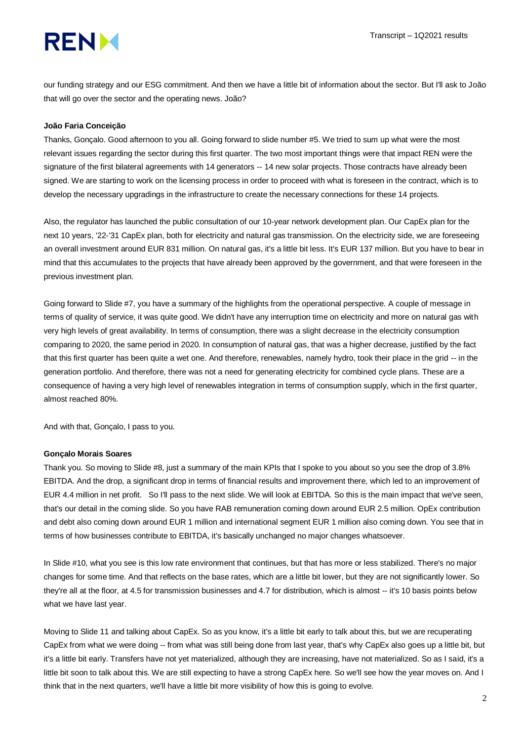# **RENM**

our funding strategy and our ESG commitment. And then we have a little bit of information about the sector. But I'll ask to João that will go over the sector and the operating news. João?

# **João Faria Conceição**

Thanks, Gonçalo. Good afternoon to you all. Going forward to slide number #5. We tried to sum up what were the most relevant issues regarding the sector during this first quarter. The two most important things were that impact REN were the signature of the first bilateral agreements with 14 generators -- 14 new solar projects. Those contracts have already been signed. We are starting to work on the licensing process in order to proceed with what is foreseen in the contract, which is to develop the necessary upgradings in the infrastructure to create the necessary connections for these 14 projects.

Also, the regulator has launched the public consultation of our 10-year network development plan. Our CapEx plan for the next 10 years, '22-'31 CapEx plan, both for electricity and natural gas transmission. On the electricity side, we are foreseeing an overall investment around EUR 831 million. On natural gas, it's a little bit less. It's EUR 137 million. But you have to bear in mind that this accumulates to the projects that have already been approved by the government, and that were foreseen in the previous investment plan.

Going forward to Slide #7, you have a summary of the highlights from the operational perspective. A couple of message in terms of quality of service, it was quite good. We didn't have any interruption time on electricity and more on natural gas with very high levels of great availability. In terms of consumption, there was a slight decrease in the electricity consumption comparing to 2020, the same period in 2020. In consumption of natural gas, that was a higher decrease, justified by the fact that this first quarter has been quite a wet one. And therefore, renewables, namely hydro, took their place in the grid -- in the generation portfolio. And therefore, there was not a need for generating electricity for combined cycle plans. These are a consequence of having a very high level of renewables integration in terms of consumption supply, which in the first quarter, almost reached 80%.

And with that, Gonçalo, I pass to you.

# **Gonçalo Morais Soares**

Thank you. So moving to Slide #8, just a summary of the main KPIs that I spoke to you about so you see the drop of 3.8% EBITDA. And the drop, a significant drop in terms of financial results and improvement there, which led to an improvement of EUR 4.4 million in net profit. So I'll pass to the next slide. We will look at EBITDA. So this is the main impact that we've seen, that's our detail in the coming slide. So you have RAB remuneration coming down around EUR 2.5 million. OpEx contribution and debt also coming down around EUR 1 million and international segment EUR 1 million also coming down. You see that in terms of how businesses contribute to EBITDA, it's basically unchanged no major changes whatsoever.

In Slide #10, what you see is this low rate environment that continues, but that has more or less stabilized. There's no major changes for some time. And that reflects on the base rates, which are a little bit lower, but they are not significantly lower. So they're all at the floor, at 4.5 for transmission businesses and 4.7 for distribution, which is almost -- it's 10 basis points below what we have last year.

Moving to Slide 11 and talking about CapEx. So as you know, it's a little bit early to talk about this, but we are recuperating CapEx from what we were doing -- from what was still being done from last year, that's why CapEx also goes up a little bit, but it's a little bit early. Transfers have not yet materialized, although they are increasing, have not materialized. So as I said, it's a little bit soon to talk about this. We are still expecting to have a strong CapEx here. So we'll see how the year moves on. And I think that in the next quarters, we'll have a little bit more visibility of how this is going to evolve.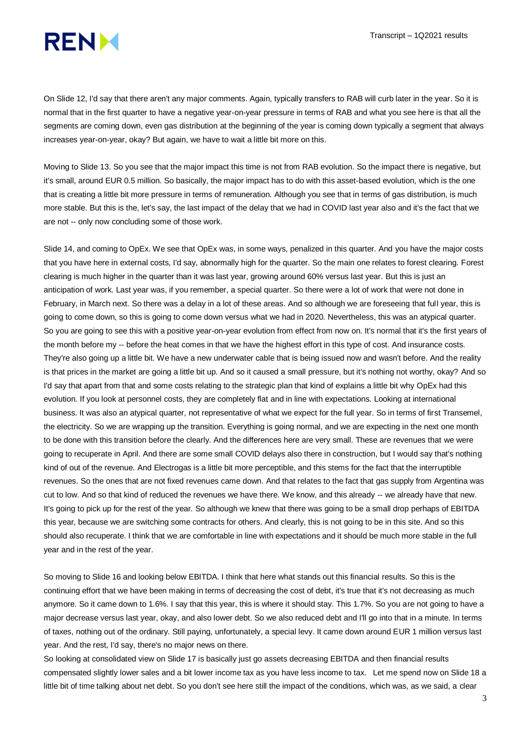

On Slide 12, I'd say that there aren't any major comments. Again, typically transfers to RAB will curb later in the year. So it is normal that in the first quarter to have a negative year-on-year pressure in terms of RAB and what you see here is that all the segments are coming down, even gas distribution at the beginning of the year is coming down typically a segment that always increases year-on-year, okay? But again, we have to wait a little bit more on this.

Moving to Slide 13. So you see that the major impact this time is not from RAB evolution. So the impact there is negative, but it's small, around EUR 0.5 million. So basically, the major impact has to do with this asset-based evolution, which is the one that is creating a little bit more pressure in terms of remuneration. Although you see that in terms of gas distribution, is much more stable. But this is the, let's say, the last impact of the delay that we had in COVID last year also and it's the fact that we are not -- only now concluding some of those work.

Slide 14, and coming to OpEx. We see that OpEx was, in some ways, penalized in this quarter. And you have the major costs that you have here in external costs, I'd say, abnormally high for the quarter. So the main one relates to forest clearing. Forest clearing is much higher in the quarter than it was last year, growing around 60% versus last year. But this is just an anticipation of work. Last year was, if you remember, a special quarter. So there were a lot of work that were not done in February, in March next. So there was a delay in a lot of these areas. And so although we are foreseeing that full year, this is going to come down, so this is going to come down versus what we had in 2020. Nevertheless, this was an atypical quarter. So you are going to see this with a positive year-on-year evolution from effect from now on. It's normal that it's the first years of the month before my -- before the heat comes in that we have the highest effort in this type of cost. And insurance costs. They're also going up a little bit. We have a new underwater cable that is being issued now and wasn't before. And the reality is that prices in the market are going a little bit up. And so it caused a small pressure, but it's nothing not worthy, okay? And so I'd say that apart from that and some costs relating to the strategic plan that kind of explains a little bit why OpEx had this evolution. If you look at personnel costs, they are completely flat and in line with expectations. Looking at international business. It was also an atypical quarter, not representative of what we expect for the full year. So in terms of first Transemel, the electricity. So we are wrapping up the transition. Everything is going normal, and we are expecting in the next one month to be done with this transition before the clearly. And the differences here are very small. These are revenues that we were going to recuperate in April. And there are some small COVID delays also there in construction, but I would say that's nothing kind of out of the revenue. And Electrogas is a little bit more perceptible, and this stems for the fact that the interruptible revenues. So the ones that are not fixed revenues came down. And that relates to the fact that gas supply from Argentina was cut to low. And so that kind of reduced the revenues we have there. We know, and this already -- we already have that new. It's going to pick up for the rest of the year. So although we knew that there was going to be a small drop perhaps of EBITDA this year, because we are switching some contracts for others. And clearly, this is not going to be in this site. And so this should also recuperate. I think that we are comfortable in line with expectations and it should be much more stable in the full year and in the rest of the year.

So moving to Slide 16 and looking below EBITDA. I think that here what stands out this financial results. So this is the continuing effort that we have been making in terms of decreasing the cost of debt, it's true that it's not decreasing as much anymore. So it came down to 1.6%. I say that this year, this is where it should stay. This 1.7%. So you are not going to have a major decrease versus last year, okay, and also lower debt. So we also reduced debt and I'll go into that in a minute. In terms of taxes, nothing out of the ordinary. Still paying, unfortunately, a special levy. It came down around EUR 1 million versus last year. And the rest, I'd say, there's no major news on there.

So looking at consolidated view on Slide 17 is basically just go assets decreasing EBITDA and then financial results compensated slightly lower sales and a bit lower income tax as you have less income to tax. Let me spend now on Slide 18 a little bit of time talking about net debt. So you don't see here still the impact of the conditions, which was, as we said, a clear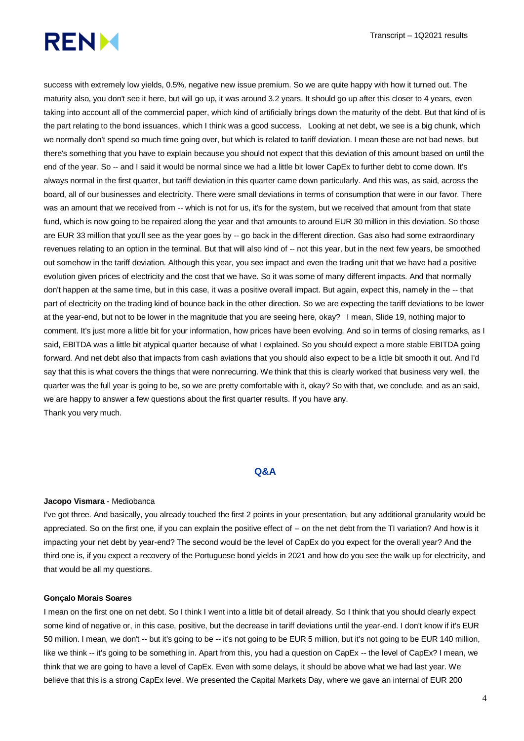

success with extremely low yields, 0.5%, negative new issue premium. So we are quite happy with how it turned out. The maturity also, you don't see it here, but will go up, it was around 3.2 years. It should go up after this closer to 4 years, even taking into account all of the commercial paper, which kind of artificially brings down the maturity of the debt. But that kind of is the part relating to the bond issuances, which I think was a good success. Looking at net debt, we see is a big chunk, which we normally don't spend so much time going over, but which is related to tariff deviation. I mean these are not bad news, but there's something that you have to explain because you should not expect that this deviation of this amount based on until the end of the year. So -- and I said it would be normal since we had a little bit lower CapEx to further debt to come down. It's always normal in the first quarter, but tariff deviation in this quarter came down particularly. And this was, as said, across the board, all of our businesses and electricity. There were small deviations in terms of consumption that were in our favor. There was an amount that we received from -- which is not for us, it's for the system, but we received that amount from that state fund, which is now going to be repaired along the year and that amounts to around EUR 30 million in this deviation. So those are EUR 33 million that you'll see as the year goes by -- go back in the different direction. Gas also had some extraordinary revenues relating to an option in the terminal. But that will also kind of -- not this year, but in the next few years, be smoothed out somehow in the tariff deviation. Although this year, you see impact and even the trading unit that we have had a positive evolution given prices of electricity and the cost that we have. So it was some of many different impacts. And that normally don't happen at the same time, but in this case, it was a positive overall impact. But again, expect this, namely in the -- that part of electricity on the trading kind of bounce back in the other direction. So we are expecting the tariff deviations to be lower at the year-end, but not to be lower in the magnitude that you are seeing here, okay? I mean, Slide 19, nothing major to comment. It's just more a little bit for your information, how prices have been evolving. And so in terms of closing remarks, as I said, EBITDA was a little bit atypical quarter because of what I explained. So you should expect a more stable EBITDA going forward. And net debt also that impacts from cash aviations that you should also expect to be a little bit smooth it out. And I'd say that this is what covers the things that were nonrecurring. We think that this is clearly worked that business very well, the quarter was the full year is going to be, so we are pretty comfortable with it, okay? So with that, we conclude, and as an said, we are happy to answer a few questions about the first quarter results. If you have any. Thank you very much.

#### **Q&A**

#### **Jacopo Vismara** - Mediobanca

I've got three. And basically, you already touched the first 2 points in your presentation, but any additional granularity would be appreciated. So on the first one, if you can explain the positive effect of -- on the net debt from the TI variation? And how is it impacting your net debt by year-end? The second would be the level of CapEx do you expect for the overall year? And the third one is, if you expect a recovery of the Portuguese bond yields in 2021 and how do you see the walk up for electricity, and that would be all my questions.

#### **Gonçalo Morais Soares**

I mean on the first one on net debt. So I think I went into a little bit of detail already. So I think that you should clearly expect some kind of negative or, in this case, positive, but the decrease in tariff deviations until the year-end. I don't know if it's EUR 50 million. I mean, we don't -- but it's going to be -- it's not going to be EUR 5 million, but it's not going to be EUR 140 million, like we think -- it's going to be something in. Apart from this, you had a question on CapEx -- the level of CapEx? I mean, we think that we are going to have a level of CapEx. Even with some delays, it should be above what we had last year. We believe that this is a strong CapEx level. We presented the Capital Markets Day, where we gave an internal of EUR 200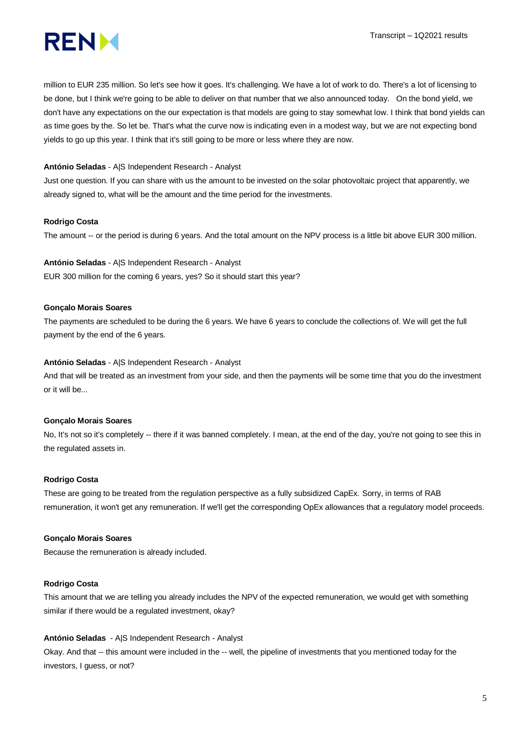

million to EUR 235 million. So let's see how it goes. It's challenging. We have a lot of work to do. There's a lot of licensing to be done, but I think we're going to be able to deliver on that number that we also announced today. On the bond yield, we don't have any expectations on the our expectation is that models are going to stay somewhat low. I think that bond yields can as time goes by the. So let be. That's what the curve now is indicating even in a modest way, but we are not expecting bond yields to go up this year. I think that it's still going to be more or less where they are now.

# **António Seladas** - A|S Independent Research - Analyst

Just one question. If you can share with us the amount to be invested on the solar photovoltaic project that apparently, we already signed to, what will be the amount and the time period for the investments.

#### **Rodrigo Costa**

The amount -- or the period is during 6 years. And the total amount on the NPV process is a little bit above EUR 300 million.

**António Seladas** - A|S Independent Research - Analyst EUR 300 million for the coming 6 years, yes? So it should start this year?

#### **Gonçalo Morais Soares**

The payments are scheduled to be during the 6 years. We have 6 years to conclude the collections of. We will get the full payment by the end of the 6 years.

#### **António Seladas** - A|S Independent Research - Analyst

And that will be treated as an investment from your side, and then the payments will be some time that you do the investment or it will be...

#### **Gonçalo Morais Soares**

No, It's not so it's completely -- there if it was banned completely. I mean, at the end of the day, you're not going to see this in the regulated assets in.

#### **Rodrigo Costa**

These are going to be treated from the regulation perspective as a fully subsidized CapEx. Sorry, in terms of RAB remuneration, it won't get any remuneration. If we'll get the corresponding OpEx allowances that a regulatory model proceeds.

#### **Gonçalo Morais Soares**

Because the remuneration is already included.

### **Rodrigo Costa**

This amount that we are telling you already includes the NPV of the expected remuneration, we would get with something similar if there would be a regulated investment, okay?

#### **António Seladas** - A|S Independent Research - Analyst

Okay. And that -- this amount were included in the -- well, the pipeline of investments that you mentioned today for the investors, I guess, or not?